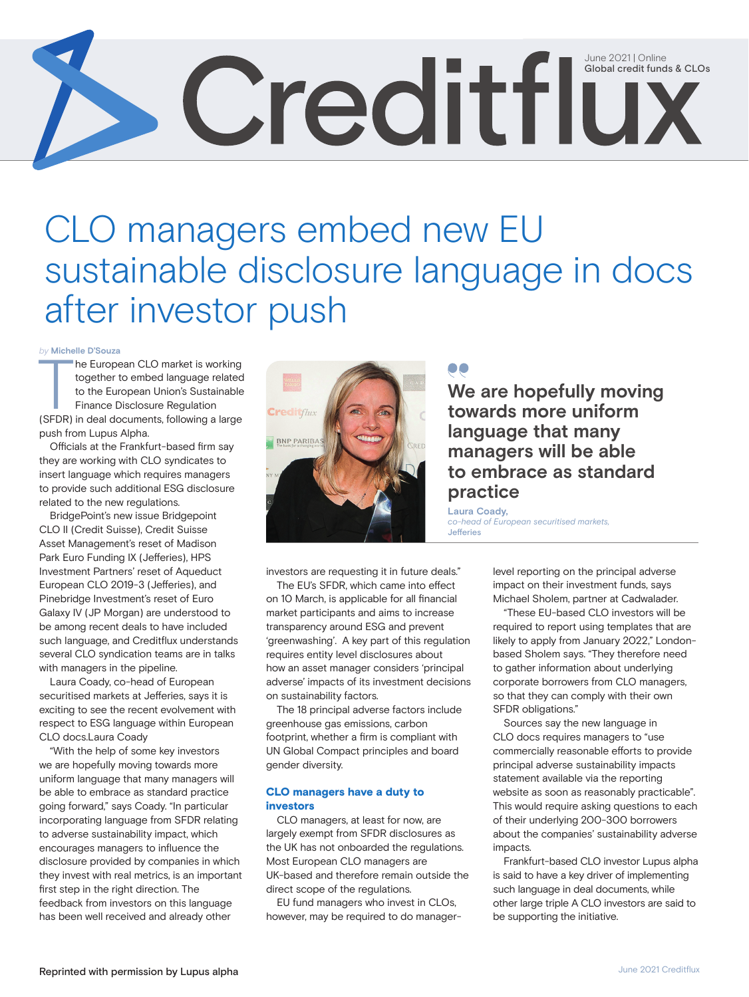# Credit funds & CLO Global credit funds & CLOs

# CLO managers embed new EU sustainable disclosure language in docs after investor push

*by* **Michelle D'Souza**

The European CLO market is working<br>together to embed language related<br>to the European Union's Sustainable<br>Finance Disclosure Regulation<br>(SFDR) in deal documents, following a large he European CLO market is working together to embed language related to the European Union's Sustainable Finance Disclosure Regulation push from Lupus Alpha.

Officials at the Frankfurt-based firm say they are working with CLO syndicates to insert language which requires managers to provide such additional ESG disclosure related to the new regulations.

BridgePoint's new issue Bridgepoint CLO II (Credit Suisse), Credit Suisse Asset Management's reset of Madison Park Euro Funding IX (Jefferies), HPS Investment Partners' reset of Aqueduct European CLO 2019-3 (Jefferies), and Pinebridge Investment's reset of Euro Galaxy IV (JP Morgan) are understood to be among recent deals to have included such language, and Creditflux understands several CLO syndication teams are in talks with managers in the pipeline.

Laura Coady, co-head of European securitised markets at Jefferies, says it is exciting to see the recent evolvement with respect to ESG language within European CLO docs.Laura Coady

"With the help of some key investors we are hopefully moving towards more uniform language that many managers will be able to embrace as standard practice going forward," says Coady. "In particular incorporating language from SFDR relating to adverse sustainability impact, which encourages managers to influence the disclosure provided by companies in which they invest with real metrics, is an important first step in the right direction. The feedback from investors on this language has been well received and already other



investors are requesting it in future deals."

The EU's SFDR, which came into effect on 10 March, is applicable for all financial market participants and aims to increase transparency around ESG and prevent 'greenwashing'. A key part of this regulation requires entity level disclosures about how an asset manager considers 'principal adverse' impacts of its investment decisions on sustainability factors.

The 18 principal adverse factors include greenhouse gas emissions, carbon footprint, whether a firm is compliant with UN Global Compact principles and board gender diversity.

#### CLO managers have a duty to investors

CLO managers, at least for now, are largely exempt from SFDR disclosures as the UK has not onboarded the regulations. Most European CLO managers are UK-based and therefore remain outside the direct scope of the regulations.

EU fund managers who invest in CLOs, however, may be required to do manager-

#### **We are hopefully moving towards more uniform language that many managers will be able to embrace as standard practice**

**Laura Coady,**  *co-head of European securitised markets,*  Jefferies

> level reporting on the principal adverse impact on their investment funds, says Michael Sholem, partner at Cadwalader.

"These EU-based CLO investors will be required to report using templates that are likely to apply from January 2022," Londonbased Sholem says. "They therefore need to gather information about underlying corporate borrowers from CLO managers, so that they can comply with their own SFDR obligations."

Sources say the new language in CLO docs requires managers to "use commercially reasonable efforts to provide principal adverse sustainability impacts statement available via the reporting website as soon as reasonably practicable". This would require asking questions to each of their underlying 200-300 borrowers about the companies' sustainability adverse impacts.

Frankfurt-based CLO investor Lupus alpha is said to have a key driver of implementing such language in deal documents, while other large triple A CLO investors are said to be supporting the initiative.